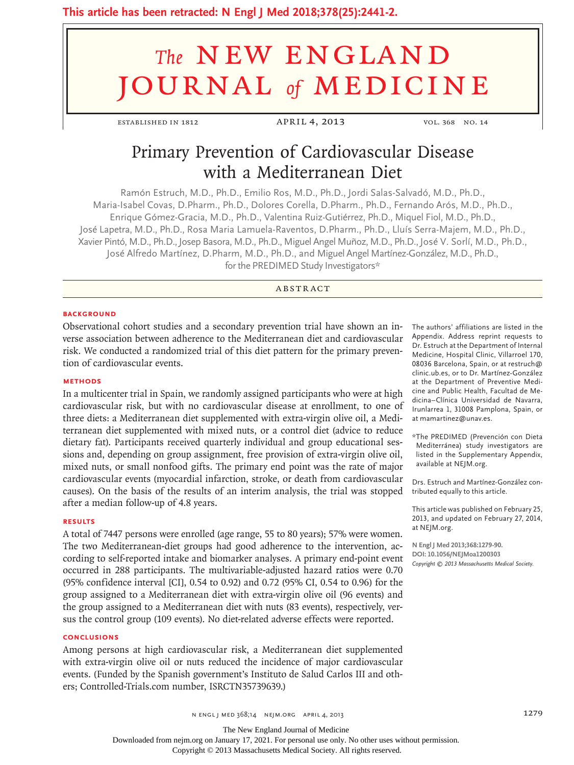**This article has been retracted: N Engl J Med 2018;378(25):2441-2.**

# **The NEW ENGLAND** journal *of* medicine

established in 1812 **april 4, 2013** vol. 368 no. 14

# Primary Prevention of Cardiovascular Disease with a Mediterranean Diet

Ramón Estruch, M.D., Ph.D., Emilio Ros, M.D., Ph.D., Jordi Salas-Salvadó, M.D., Ph.D., Maria-Isabel Covas, D.Pharm., Ph.D., Dolores Corella, D.Pharm., Ph.D., Fernando Arós, M.D., Ph.D., Enrique Gómez-Gracia, M.D., Ph.D., Valentina Ruiz-Gutiérrez, Ph.D., Miquel Fiol, M.D., Ph.D., José Lapetra, M.D., Ph.D., Rosa Maria Lamuela-Raventos, D.Pharm., Ph.D., Lluís Serra-Majem, M.D., Ph.D., Xavier Pintó, M.D., Ph.D., Josep Basora, M.D., Ph.D., Miguel Angel Muñoz, M.D., Ph.D., José V. Sorlí, M.D., Ph.D., José Alfredo Martínez, D.Pharm, M.D., Ph.D., and Miguel Angel Martínez-González, M.D., Ph.D., for the PREDIMED Study Investigators\*

# **ABSTRACT**

#### **BACKGROUND**

Observational cohort studies and a secondary prevention trial have shown an inverse association between adherence to the Mediterranean diet and cardiovascular risk. We conducted a randomized trial of this diet pattern for the primary prevention of cardiovascular events.

# **Methods**

In a multicenter trial in Spain, we randomly assigned participants who were at high cardiovascular risk, but with no cardiovascular disease at enrollment, to one of three diets: a Mediterranean diet supplemented with extra-virgin olive oil, a Mediterranean diet supplemented with mixed nuts, or a control diet (advice to reduce dietary fat). Participants received quarterly individual and group educational sessions and, depending on group assignment, free provision of extra-virgin olive oil, mixed nuts, or small nonfood gifts. The primary end point was the rate of major cardiovascular events (myocardial infarction, stroke, or death from cardiovascular causes). On the basis of the results of an interim analysis, the trial was stopped after a median follow-up of 4.8 years.

#### **Results**

A total of 7447 persons were enrolled (age range, 55 to 80 years); 57% were women. The two Mediterranean-diet groups had good adherence to the intervention, according to self-reported intake and biomarker analyses. A primary end-point event occurred in 288 participants. The multivariable-adjusted hazard ratios were 0.70 (95% confidence interval [CI], 0.54 to 0.92) and 0.72 (95% CI, 0.54 to 0.96) for the group assigned to a Mediterranean diet with extra-virgin olive oil (96 events) and the group assigned to a Mediterranean diet with nuts (83 events), respectively, versus the control group (109 events). No diet-related adverse effects were reported.

# **Conclusions**

Among persons at high cardiovascular risk, a Mediterranean diet supplemented with extra-virgin olive oil or nuts reduced the incidence of major cardiovascular events. (Funded by the Spanish government's Instituto de Salud Carlos III and others; Controlled-Trials.com number, ISRCTN35739639.)

The authors' affiliations are listed in the Appendix. Address reprint requests to Dr. Estruch at the Department of Internal Medicine, Hospital Clinic, Villarroel 170, 08036 Barcelona, Spain, or at restruch@ clinic.ub.es, or to Dr. Martínez-González at the Department of Preventive Medicine and Public Health, Facultad de Medicina–Clínica Universidad de Navarra, Irunlarrea 1, 31008 Pamplona, Spain, or at mamartinez@unav.es.

\*The PREDIMED (Prevención con Dieta Mediterránea) study investigators are listed in the Supplementary Appendix, available at NEJM.org.

Drs. Estruch and Martínez-González contributed equally to this article.

This article was published on February 25, 2013, and updated on February 27, 2014, at NEJM.org.

**N Engl J Med 2013;368:1279-90. DOI: 10.1056/NEJMoa1200303** *Copyright © 2013 Massachusetts Medical Society.*

The New England Journal of Medicine

Downloaded from nejm.org on January 17, 2021. For personal use only. No other uses without permission.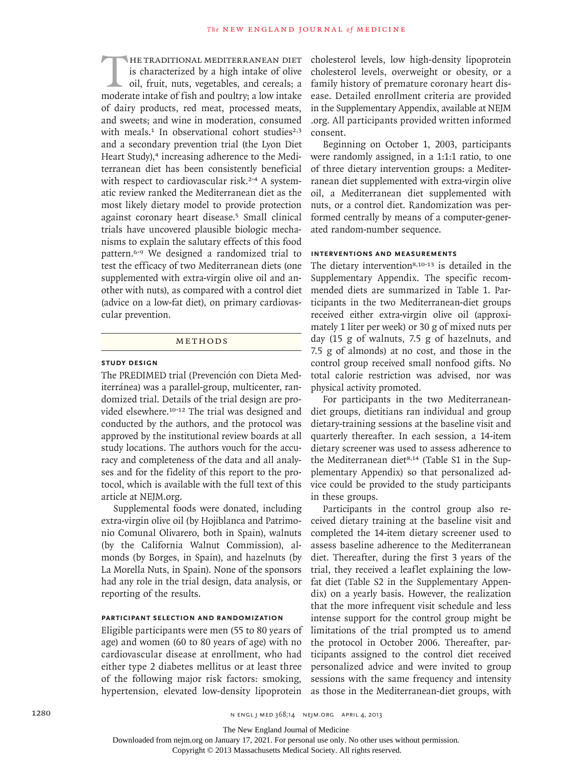THE TRADITIONAL MEDITERRANEAN DIET is characterized by a high intake of olive oil, fruit, nuts, vegetables, and cereals; a moderate intake of fish and poultry; a low intake of dairy products, red meat, processed meats, and sweets; and wine in moderation, consumed with meals.<sup>1</sup> In observational cohort studies<sup>2,3</sup> and a secondary prevention trial (the Lyon Diet Heart Study),<sup>4</sup> increasing adherence to the Mediterranean diet has been consistently beneficial with respect to cardiovascular risk.<sup>2-4</sup> A systematic review ranked the Mediterranean diet as the most likely dietary model to provide protection against coronary heart disease.5 Small clinical trials have uncovered plausible biologic mechanisms to explain the salutary effects of this food pattern.6-9 We designed a randomized trial to test the efficacy of two Mediterranean diets (one supplemented with extra-virgin olive oil and another with nuts), as compared with a control diet (advice on a low-fat diet), on primary cardiovascular prevention.

#### Methods

## **Study design**

The PREDIMED trial (Prevención con Dieta Mediterránea) was a parallel-group, multicenter, randomized trial. Details of the trial design are provided elsewhere.10-12 The trial was designed and conducted by the authors, and the protocol was approved by the institutional review boards at all study locations. The authors vouch for the accuracy and completeness of the data and all analyses and for the fidelity of this report to the protocol, which is available with the full text of this article at NEJM.org.

Supplemental foods were donated, including extra-virgin olive oil (by Hojiblanca and Patrimonio Comunal Olivarero, both in Spain), walnuts (by the California Walnut Commission), almonds (by Borges, in Spain), and hazelnuts (by La Morella Nuts, in Spain). None of the sponsors had any role in the trial design, data analysis, or reporting of the results.

# **Participant Selection and Randomization**

Eligible participants were men (55 to 80 years of age) and women (60 to 80 years of age) with no cardiovascular disease at enrollment, who had either type 2 diabetes mellitus or at least three of the following major risk factors: smoking, hypertension, elevated low-density lipoprotein

cholesterol levels, low high-density lipoprotein cholesterol levels, overweight or obesity, or a family history of premature coronary heart disease. Detailed enrollment criteria are provided in the Supplementary Appendix, available at NEJM .org. All participants provided written informed consent.

Beginning on October 1, 2003, participants were randomly assigned, in a 1:1:1 ratio, to one of three dietary intervention groups: a Mediterranean diet supplemented with extra-virgin olive oil, a Mediterranean diet supplemented with nuts, or a control diet. Randomization was performed centrally by means of a computer-generated random-number sequence.

# **Interventions and Measurements**

The dietary intervention<sup>8,10-13</sup> is detailed in the Supplementary Appendix. The specific recommended diets are summarized in Table 1. Participants in the two Mediterranean-diet groups received either extra-virgin olive oil (approximately 1 liter per week) or 30 g of mixed nuts per day (15 g of walnuts, 7.5 g of hazelnuts, and 7.5 g of almonds) at no cost, and those in the control group received small nonfood gifts. No total calorie restriction was advised, nor was physical activity promoted.

For participants in the two Mediterraneandiet groups, dietitians ran individual and group dietary-training sessions at the baseline visit and quarterly thereafter. In each session, a 14-item dietary screener was used to assess adherence to the Mediterranean diet<sup>8,14</sup> (Table S1 in the Supplementary Appendix) so that personalized advice could be provided to the study participants in these groups.

Participants in the control group also received dietary training at the baseline visit and completed the 14-item dietary screener used to assess baseline adherence to the Mediterranean diet. Thereafter, during the first 3 years of the trial, they received a leaflet explaining the lowfat diet (Table S2 in the Supplementary Appendix) on a yearly basis. However, the realization that the more infrequent visit schedule and less intense support for the control group might be limitations of the trial prompted us to amend the protocol in October 2006. Thereafter, participants assigned to the control diet received personalized advice and were invited to group sessions with the same frequency and intensity as those in the Mediterranean-diet groups, with

The New England Journal of Medicine

Downloaded from nejm.org on January 17, 2021. For personal use only. No other uses without permission.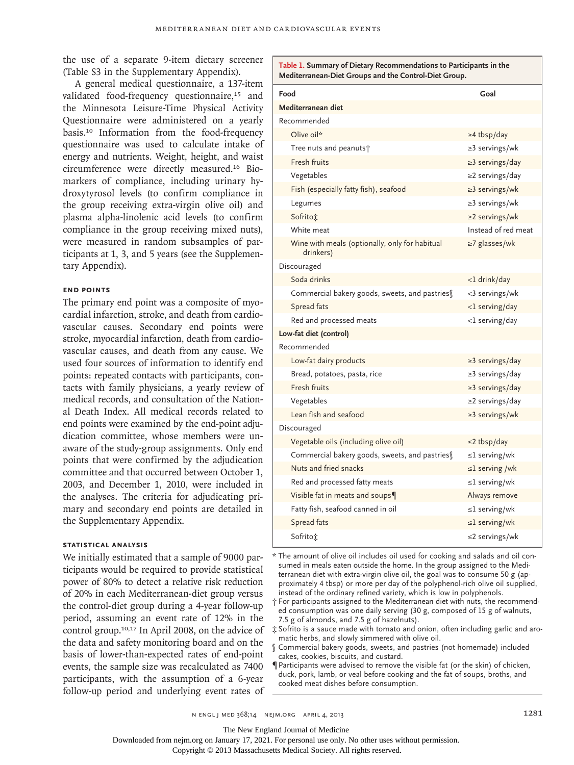the use of a separate 9-item dietary screener (Table S3 in the Supplementary Appendix).

A general medical questionnaire, a 137-item validated food-frequency questionnaire,<sup>15</sup> and the Minnesota Leisure-Time Physical Activity Questionnaire were administered on a yearly basis.10 Information from the food-frequency questionnaire was used to calculate intake of energy and nutrients. Weight, height, and waist circumference were directly measured.16 Biomarkers of compliance, including urinary hydroxytyrosol levels (to confirm compliance in the group receiving extra-virgin olive oil) and plasma alpha-linolenic acid levels (to confirm compliance in the group receiving mixed nuts), were measured in random subsamples of participants at 1, 3, and 5 years (see the Supplementary Appendix).

#### **End Points**

The primary end point was a composite of myocardial infarction, stroke, and death from cardiovascular causes. Secondary end points were stroke, myocardial infarction, death from cardiovascular causes, and death from any cause. We used four sources of information to identify end points: repeated contacts with participants, contacts with family physicians, a yearly review of medical records, and consultation of the National Death Index. All medical records related to end points were examined by the end-point adjudication committee, whose members were unaware of the study-group assignments. Only end points that were confirmed by the adjudication committee and that occurred between October 1, 2003, and December 1, 2010, were included in the analyses. The criteria for adjudicating primary and secondary end points are detailed in the Supplementary Appendix.

# **Statistical Analysis**

We initially estimated that a sample of 9000 participants would be required to provide statistical power of 80% to detect a relative risk reduction of 20% in each Mediterranean-diet group versus the control-diet group during a 4-year follow-up period, assuming an event rate of 12% in the control group.10,17 In April 2008, on the advice of the data and safety monitoring board and on the basis of lower-than-expected rates of end-point events, the sample size was recalculated as 7400 participants, with the assumption of a 6-year follow-up period and underlying event rates of

| Mediterranean-Diet Groups and the Control-Diet Group.       |                       |  |  |  |
|-------------------------------------------------------------|-----------------------|--|--|--|
| Food                                                        | Goal                  |  |  |  |
| Mediterranean diet                                          |                       |  |  |  |
| Recommended                                                 |                       |  |  |  |
| Olive oil*                                                  | $\geq 4$ tbsp/day     |  |  |  |
| Tree nuts and peanuts†                                      | $\geq$ 3 servings/wk  |  |  |  |
| Fresh fruits                                                | $\geq$ 3 servings/day |  |  |  |
| Vegetables                                                  | $\geq$ 2 servings/day |  |  |  |
| Fish (especially fatty fish), seafood                       | $\geq$ 3 servings/wk  |  |  |  |
| Legumes                                                     | $\geq$ 3 servings/wk  |  |  |  |
| Sofrito:                                                    | $\geq$ 2 servings/wk  |  |  |  |
| White meat                                                  | Instead of red meat   |  |  |  |
| Wine with meals (optionally, only for habitual<br>drinkers) | $\geq$ 7 glasses/wk   |  |  |  |
| Discouraged                                                 |                       |  |  |  |
| Soda drinks                                                 | <1 drink/day          |  |  |  |
| Commercial bakery goods, sweets, and pastries\              | <3 servings/wk        |  |  |  |
| Spread fats                                                 | <1 serving/day        |  |  |  |
| Red and processed meats                                     | <1 serving/day        |  |  |  |
| Low-fat diet (control)                                      |                       |  |  |  |
| Recommended                                                 |                       |  |  |  |
| Low-fat dairy products                                      | $\geq$ 3 servings/day |  |  |  |
| Bread, potatoes, pasta, rice                                | $\geq$ 3 servings/day |  |  |  |
| Fresh fruits                                                | $\geq$ 3 servings/day |  |  |  |
| Vegetables                                                  | $\geq$ 2 servings/day |  |  |  |
| Lean fish and seafood                                       | $\geq$ 3 servings/wk  |  |  |  |
| Discouraged                                                 |                       |  |  |  |
| Vegetable oils (including olive oil)                        | $\leq$ 2 tbsp/day     |  |  |  |
| Commercial bakery goods, sweets, and pastries\              | ≤1 serving/wk         |  |  |  |
| Nuts and fried snacks                                       | $\leq$ l serving /wk  |  |  |  |
| Red and processed fatty meats                               | ≤1 serving/wk         |  |  |  |
| Visible fat in meats and soups¶                             | Always remove         |  |  |  |
| Fatty fish, seafood canned in oil                           | ≤1 serving/wk         |  |  |  |
| Spread fats                                                 | ≤1 serving/wk         |  |  |  |
| Sofritot                                                    | ≤2 servings/wk        |  |  |  |
|                                                             |                       |  |  |  |

**Table 1. Summary of Dietary Recommendations to Participants in the** 

\* The amount of olive oil includes oil used for cooking and salads and oil consumed in meals eaten outside the home. In the group assigned to the Mediterranean diet with extra-virgin olive oil, the goal was to consume 50 g (approximately 4 tbsp) or more per day of the polyphenol-rich olive oil supplied, instead of the ordinary refined variety, which is low in polyphenols.

† For participants assigned to the Mediterranean diet with nuts, the recommended consumption was one daily serving (30 g, composed of 15 g of walnuts, 7.5 g of almonds, and 7.5 g of hazelnuts).

‡ Sofrito is a sauce made with tomato and onion, often including garlic and aromatic herbs, and slowly simmered with olive oil.

§ Commercial bakery goods, sweets, and pastries (not homemade) included cakes, cookies, biscuits, and custard.

¶Participants were advised to remove the visible fat (or the skin) of chicken, duck, pork, lamb, or veal before cooking and the fat of soups, broths, and cooked meat dishes before consumption.

The New England Journal of Medicine

Downloaded from nejm.org on January 17, 2021. For personal use only. No other uses without permission.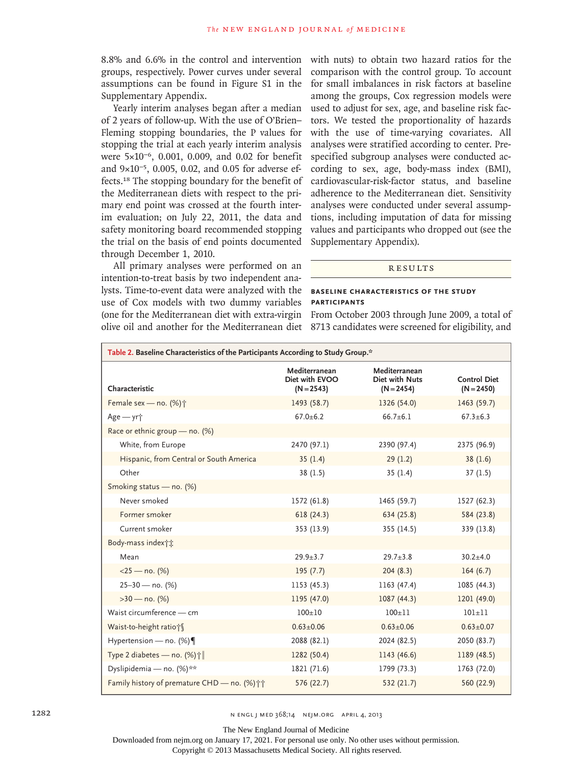8.8% and 6.6% in the control and intervention groups, respectively. Power curves under several assumptions can be found in Figure S1 in the Supplementary Appendix.

Yearly interim analyses began after a median of 2 years of follow-up. With the use of O'Brien– Fleming stopping boundaries, the P values for stopping the trial at each yearly interim analysis were 5×10−6, 0.001, 0.009, and 0.02 for benefit and 9×10−5, 0.005, 0.02, and 0.05 for adverse effects.18 The stopping boundary for the benefit of the Mediterranean diets with respect to the primary end point was crossed at the fourth interim evaluation; on July 22, 2011, the data and safety monitoring board recommended stopping the trial on the basis of end points documented through December 1, 2010.

All primary analyses were performed on an intention-to-treat basis by two independent analysts. Time-to-event data were analyzed with the use of Cox models with two dummy variables (one for the Mediterranean diet with extra-virgin with nuts) to obtain two hazard ratios for the comparison with the control group. To account for small imbalances in risk factors at baseline among the groups, Cox regression models were used to adjust for sex, age, and baseline risk factors. We tested the proportionality of hazards with the use of time-varying covariates. All analyses were stratified according to center. Prespecified subgroup analyses were conducted according to sex, age, body-mass index (BMI), cardiovascular-risk-factor status, and baseline adherence to the Mediterranean diet. Sensitivity analyses were conducted under several assumptions, including imputation of data for missing values and participants who dropped out (see the Supplementary Appendix).

### **RESULTS**

# **Baseline Characteristics of the Study Participants**

olive oil and another for the Mediterranean diet 8713 candidates were screened for eligibility, and From October 2003 through June 2009, a total of

| Table 2. Baseline Characteristics of the Participants According to Study Group.* |                                                 |                                                 |                                     |  |  |
|----------------------------------------------------------------------------------|-------------------------------------------------|-------------------------------------------------|-------------------------------------|--|--|
| Characteristic                                                                   | Mediterranean<br>Diet with EVOO<br>$(N = 2543)$ | Mediterranean<br>Diet with Nuts<br>$(N = 2454)$ | <b>Control Diet</b><br>$(N = 2450)$ |  |  |
| Female sex - no. (%) <sup>+</sup>                                                | 1493 (58.7)                                     | 1326 (54.0)                                     | 1463 (59.7)                         |  |  |
| $Age - yrT$                                                                      | $67.0 \pm 6.2$                                  | $66.7 \pm 6.1$                                  | $67.3 \pm 6.3$                      |  |  |
| Race or ethnic group - no. (%)                                                   |                                                 |                                                 |                                     |  |  |
| White, from Europe                                                               | 2470 (97.1)                                     | 2390 (97.4)                                     | 2375 (96.9)                         |  |  |
| Hispanic, from Central or South America                                          | 35(1.4)                                         | 29(1.2)                                         | 38(1.6)                             |  |  |
| Other                                                                            | 38(1.5)                                         | 35(1.4)                                         | 37(1.5)                             |  |  |
| Smoking status - no. (%)                                                         |                                                 |                                                 |                                     |  |  |
| Never smoked                                                                     | 1572 (61.8)                                     | 1465 (59.7)                                     | 1527 (62.3)                         |  |  |
| Former smoker                                                                    | 618(24.3)                                       | 634 (25.8)                                      | 584 (23.8)                          |  |  |
| Current smoker                                                                   | 353 (13.9)                                      | 355 (14.5)                                      | 339 (13.8)                          |  |  |
| Body-mass index†*                                                                |                                                 |                                                 |                                     |  |  |
| Mean                                                                             | $29.9 \pm 3.7$                                  | $29.7 \pm 3.8$                                  | $30.2 + 4.0$                        |  |  |
| $<$ 25 — no. (%)                                                                 | 195(7.7)                                        | 204(8.3)                                        | 164(6.7)                            |  |  |
| $25 - 30 - no.$ (%)                                                              | 1153 (45.3)                                     | 1163 (47.4)                                     | 1085 (44.3)                         |  |  |
| $>30$ — no. (%)                                                                  | 1195 (47.0)                                     | 1087(44.3)                                      | 1201 (49.0)                         |  |  |
| Waist circumference - cm                                                         | $100 \pm 10$                                    | $100 + 11$                                      | $101 + 11$                          |  |  |
| Waist-to-height ratio†                                                           | $0.63 \pm 0.06$                                 | $0.63 \pm 0.06$                                 | $0.63 \pm 0.07$                     |  |  |
| Hypertension - no. $(\%)$                                                        | 2088 (82.1)                                     | 2024 (82.5)                                     | 2050 (83.7)                         |  |  |
| Type 2 diabetes - no. (%) $\dagger$                                              | 1282 (50.4)                                     | 1143 (46.6)                                     | 1189 (48.5)                         |  |  |
| Dyslipidemia - no. (%)**                                                         | 1821 (71.6)                                     | 1799 (73.3)                                     | 1763 (72.0)                         |  |  |
| Family history of premature CHD - no. (%) ††                                     | 576 (22.7)                                      | 532(21.7)                                       | 560 (22.9)                          |  |  |

1282 **n engl j med 368;14** N ENGL J MED 368;14 NEJM.ORG APRIL 4, 2013

The New England Journal of Medicine

Downloaded from nejm.org on January 17, 2021. For personal use only. No other uses without permission.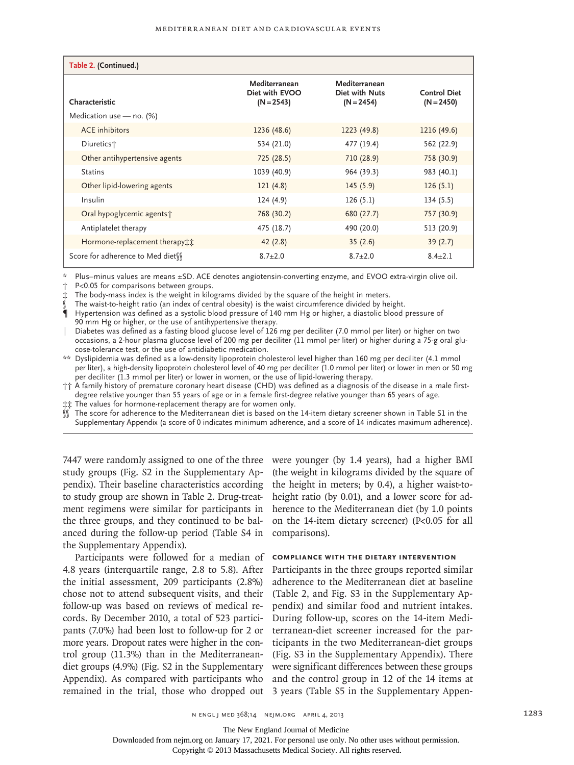| Table 2. (Continued.)           |                                                 |                                                 |                                     |  |  |  |
|---------------------------------|-------------------------------------------------|-------------------------------------------------|-------------------------------------|--|--|--|
| Characteristic                  | Mediterranean<br>Diet with EVOO<br>$(N = 2543)$ | Mediterranean<br>Diet with Nuts<br>$(N = 2454)$ | <b>Control Diet</b><br>$(N = 2450)$ |  |  |  |
| Medication use - no. (%)        |                                                 |                                                 |                                     |  |  |  |
| <b>ACE</b> inhibitors           | 1236 (48.6)                                     | 1223 (49.8)                                     | 1216 (49.6)                         |  |  |  |
| Diuretics <sup>+</sup>          | 534 (21.0)                                      | 477 (19.4)                                      | 562 (22.9)                          |  |  |  |
| Other antihypertensive agents   | 725 (28.5)                                      | 710 (28.9)                                      | 758 (30.9)                          |  |  |  |
| <b>Statins</b>                  | 1039 (40.9)                                     | 964 (39.3)                                      | 983 (40.1)                          |  |  |  |
| Other lipid-lowering agents     | 121(4.8)                                        | 145(5.9)                                        | 126(5.1)                            |  |  |  |
| Insulin                         | 124 (4.9)                                       | 126(5.1)                                        | 134(5.5)                            |  |  |  |
| Oral hypoglycemic agents†       | 768 (30.2)                                      | 680 (27.7)                                      | 757 (30.9)                          |  |  |  |
| Antiplatelet therapy            | 475 (18.7)                                      | 490 (20.0)                                      | 513 (20.9)                          |  |  |  |
| Hormone-replacement therapy:    | 42(2.8)                                         | 35(2.6)                                         | 39(2.7)                             |  |  |  |
| Score for adherence to Med diet | $8.7 \pm 2.0$                                   | $8.7 + 2.0$                                     | $8.4 + 2.1$                         |  |  |  |

\* Plus–minus values are means ±SD. ACE denotes angiotensin-converting enzyme, and EVOO extra-virgin olive oil.

P<0.05 for comparisons between groups.

The body-mass index is the weight in kilograms divided by the square of the height in meters.

The waist-to-height ratio (an index of central obesity) is the waist circumference divided by height.

¶ Hypertension was defined as a systolic blood pressure of 140 mm Hg or higher, a diastolic blood pressure of 90 mm Hg or higher, or the use of antihypertensive therapy.

Diabetes was defined as a fasting blood glucose level of 126 mg per deciliter (7.0 mmol per liter) or higher on two occasions, a 2-hour plasma glucose level of 200 mg per deciliter (11 mmol per liter) or higher during a 75-g oral glucose-tolerance test, or the use of antidiabetic medication.

\*\* Dyslipidemia was defined as a low-density lipoprotein cholesterol level higher than 160 mg per deciliter (4.1 mmol per liter), a high-density lipoprotein cholesterol level of 40 mg per deciliter (1.0 mmol per liter) or lower in men or 50 mg per deciliter (1.3 mmol per liter) or lower in women, or the use of lipid-lowering therapy.

†† A family history of premature coronary heart disease (CHD) was defined as a diagnosis of the disease in a male firstdegree relative younger than 55 years of age or in a female first-degree relative younger than 65 years of age.

 $\ddot{\tau}$  The values for hormone-replacement therapy are for women only.

The score for adherence to the Mediterranean diet is based on the 14-item dietary screener shown in Table S1 in the Supplementary Appendix (a score of 0 indicates minimum adherence, and a score of 14 indicates maximum adherence).

study groups (Fig. S2 in the Supplementary Ap-(the weight in kilograms divided by the square of pendix). Their baseline characteristics according the height in meters; by 0.4), a higher waist-toto study group are shown in Table 2. Drug-treat-height ratio (by 0.01), and a lower score for adment regimens were similar for participants in herence to the Mediterranean diet (by 1.0 points the three groups, and they continued to be balanced during the follow-up period (Table S4 in comparisons). the Supplementary Appendix).

Participants were followed for a median of 4.8 years (interquartile range, 2.8 to 5.8). After the initial assessment, 209 participants (2.8%) chose not to attend subsequent visits, and their follow-up was based on reviews of medical records. By December 2010, a total of 523 participants (7.0%) had been lost to follow-up for 2 or more years. Dropout rates were higher in the control group (11.3%) than in the Mediterraneandiet groups (4.9%) (Fig. S2 in the Supplementary Appendix). As compared with participants who remained in the trial, those who dropped out 3 years (Table S5 in the Supplementary Appen-

7447 were randomly assigned to one of the three were younger (by 1.4 years), had a higher BMI on the 14-item dietary screener) (P<0.05 for all

### **Compliance with the Dietary Intervention**

Participants in the three groups reported similar adherence to the Mediterranean diet at baseline (Table 2, and Fig. S3 in the Supplementary Appendix) and similar food and nutrient intakes. During follow-up, scores on the 14-item Mediterranean-diet screener increased for the participants in the two Mediterranean-diet groups (Fig. S3 in the Supplementary Appendix). There were significant differences between these groups and the control group in 12 of the 14 items at

The New England Journal of Medicine

Downloaded from nejm.org on January 17, 2021. For personal use only. No other uses without permission.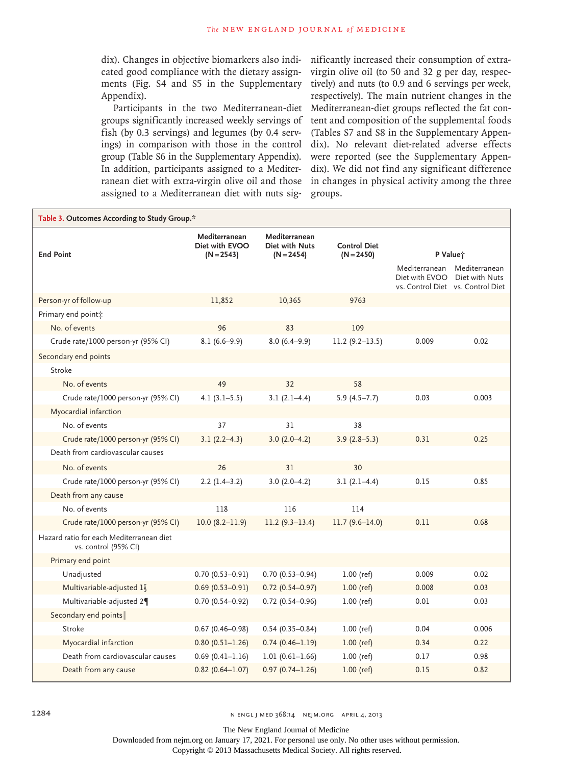dix). Changes in objective biomarkers also indicated good compliance with the dietary assignments (Fig. S4 and S5 in the Supplementary Appendix).

Participants in the two Mediterranean-diet groups significantly increased weekly servings of fish (by 0.3 servings) and legumes (by 0.4 servings) in comparison with those in the control group (Table S6 in the Supplementary Appendix). In addition, participants assigned to a Mediterranean diet with extra-virgin olive oil and those assigned to a Mediterranean diet with nuts sig-

nificantly increased their consumption of extravirgin olive oil (to 50 and 32 g per day, respectively) and nuts (to 0.9 and 6 servings per week, respectively). The main nutrient changes in the Mediterranean-diet groups reflected the fat content and composition of the supplemental foods (Tables S7 and S8 in the Supplementary Appendix). No relevant diet-related adverse effects were reported (see the Supplementary Appendix). We did not find any significant difference in changes in physical activity among the three groups.

| Table 3. Outcomes According to Study Group.*                     |                                                                                                    |                     |                                     |                                 |                                                                      |
|------------------------------------------------------------------|----------------------------------------------------------------------------------------------------|---------------------|-------------------------------------|---------------------------------|----------------------------------------------------------------------|
| <b>End Point</b>                                                 | Mediterranean<br>Mediterranean<br>Diet with EVOO<br>Diet with Nuts<br>$(N = 2543)$<br>$(N = 2454)$ |                     | <b>Control Diet</b><br>$(N = 2450)$ | P Value;                        |                                                                      |
|                                                                  |                                                                                                    |                     |                                     | Mediterranean<br>Diet with EVOO | Mediterranean<br>Diet with Nuts<br>vs. Control Diet vs. Control Diet |
| Person-yr of follow-up                                           | 11,852                                                                                             | 10,365              | 9763                                |                                 |                                                                      |
| Primary end point <sup>*</sup>                                   |                                                                                                    |                     |                                     |                                 |                                                                      |
| No. of events                                                    | 96                                                                                                 | 83                  | 109                                 |                                 |                                                                      |
| Crude rate/1000 person-yr (95% CI)                               | $8.1(6.6-9.9)$                                                                                     | $8.0(6.4 - 9.9)$    | 11.2 $(9.2 - 13.5)$                 | 0.009                           | 0.02                                                                 |
| Secondary end points                                             |                                                                                                    |                     |                                     |                                 |                                                                      |
| Stroke                                                           |                                                                                                    |                     |                                     |                                 |                                                                      |
| No. of events                                                    | 49                                                                                                 | 32                  | 58                                  |                                 |                                                                      |
| Crude rate/1000 person-yr (95% CI)                               | $4.1(3.1-5.5)$                                                                                     | $3.1(2.1-4.4)$      | $5.9(4.5 - 7.7)$                    | 0.03                            | 0.003                                                                |
| Myocardial infarction                                            |                                                                                                    |                     |                                     |                                 |                                                                      |
| No. of events                                                    | 37                                                                                                 | 31                  | 38                                  |                                 |                                                                      |
| Crude rate/1000 person-yr (95% CI)                               | $3.1(2.2-4.3)$                                                                                     | $3.0(2.0-4.2)$      | $3.9(2.8-5.3)$                      | 0.31                            | 0.25                                                                 |
| Death from cardiovascular causes                                 |                                                                                                    |                     |                                     |                                 |                                                                      |
| No. of events                                                    | 26                                                                                                 | 31                  | 30                                  |                                 |                                                                      |
| Crude rate/1000 person-yr (95% CI)                               | $2.2(1.4-3.2)$                                                                                     | $3.0(2.0-4.2)$      | $3.1(2.1-4.4)$                      | 0.15                            | 0.85                                                                 |
| Death from any cause                                             |                                                                                                    |                     |                                     |                                 |                                                                      |
| No. of events                                                    | 118                                                                                                | 116                 | 114                                 |                                 |                                                                      |
| Crude rate/1000 person-yr (95% CI)                               | $10.0(8.2 - 11.9)$                                                                                 | $11.2(9.3-13.4)$    | $11.7(9.6 - 14.0)$                  | 0.11                            | 0.68                                                                 |
| Hazard ratio for each Mediterranean diet<br>vs. control (95% CI) |                                                                                                    |                     |                                     |                                 |                                                                      |
| Primary end point                                                |                                                                                                    |                     |                                     |                                 |                                                                      |
| Unadjusted                                                       | $0.70(0.53 - 0.91)$                                                                                | $0.70(0.53 - 0.94)$ | $1.00$ (ref)                        | 0.009                           | 0.02                                                                 |
| Multivariable-adjusted 1§                                        | $0.69(0.53 - 0.91)$                                                                                | $0.72$ (0.54-0.97)  | $1.00$ (ref)                        | 0.008                           | 0.03                                                                 |
| Multivariable-adjusted 21                                        | $0.70(0.54 - 0.92)$                                                                                | $0.72(0.54 - 0.96)$ | $1.00$ (ref)                        | 0.01                            | 0.03                                                                 |
| Secondary end points                                             |                                                                                                    |                     |                                     |                                 |                                                                      |
| Stroke                                                           | $0.67(0.46 - 0.98)$                                                                                | $0.54(0.35 - 0.84)$ | $1.00$ (ref)                        | 0.04                            | 0.006                                                                |
| Myocardial infarction                                            | $0.80(0.51 - 1.26)$                                                                                | $0.74(0.46 - 1.19)$ | $1.00$ (ref)                        | 0.34                            | 0.22                                                                 |
| Death from cardiovascular causes                                 | $0.69(0.41 - 1.16)$                                                                                | $1.01(0.61 - 1.66)$ | $1.00$ (ref)                        | 0.17                            | 0.98                                                                 |
| Death from any cause                                             | $0.82$ (0.64-1.07)                                                                                 | $0.97(0.74 - 1.26)$ | $1.00$ (ref)                        | 0.15                            | 0.82                                                                 |

1284 **n engl j med 368;14** N ENGL J MED 368;14 NEJM.ORG APRIL 4, 2013

The New England Journal of Medicine

Downloaded from nejm.org on January 17, 2021. For personal use only. No other uses without permission.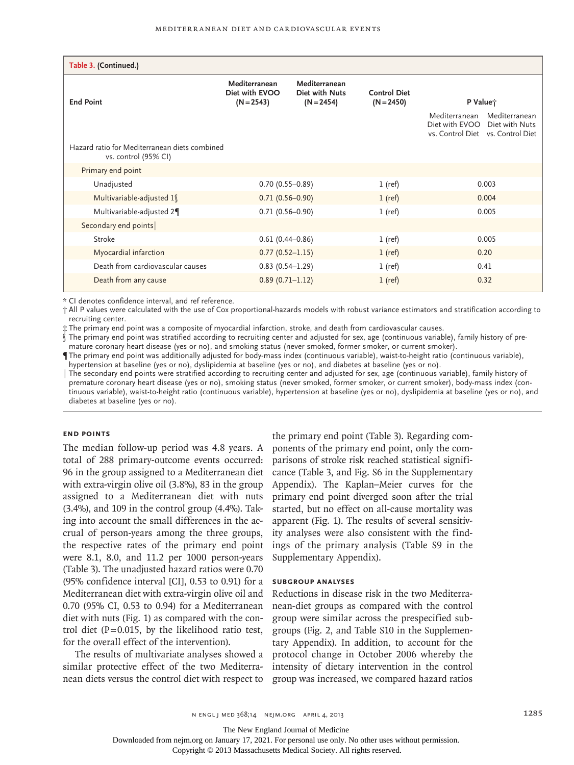| Table 3. (Continued.)                                                 |                                                 |                                                 |                                     |                                                |                                                    |
|-----------------------------------------------------------------------|-------------------------------------------------|-------------------------------------------------|-------------------------------------|------------------------------------------------|----------------------------------------------------|
| <b>End Point</b>                                                      | Mediterranean<br>Diet with EVOO<br>$(N = 2543)$ | Mediterranean<br>Diet with Nuts<br>$(N = 2454)$ | <b>Control Diet</b><br>$(N = 2450)$ | P Value <sup>*</sup>                           |                                                    |
|                                                                       |                                                 |                                                 |                                     | Mediterranean<br>Diet with EVOO Diet with Nuts | Mediterranean<br>vs. Control Diet vs. Control Diet |
| Hazard ratio for Mediterranean diets combined<br>vs. control (95% CI) |                                                 |                                                 |                                     |                                                |                                                    |
| Primary end point                                                     |                                                 |                                                 |                                     |                                                |                                                    |
| Unadjusted                                                            | $0.70(0.55 - 0.89)$                             |                                                 | $1$ (ref)                           |                                                | 0.003                                              |
| Multivariable-adjusted 1\                                             | $0.71(0.56 - 0.90)$                             |                                                 | $1$ (ref)                           |                                                | 0.004                                              |
| Multivariable-adjusted 2¶                                             | $0.71(0.56 - 0.90)$                             |                                                 | $1$ (ref)                           |                                                | 0.005                                              |
| Secondary end points                                                  |                                                 |                                                 |                                     |                                                |                                                    |
| Stroke                                                                | $0.61(0.44 - 0.86)$                             |                                                 | $1$ (ref)                           |                                                | 0.005                                              |
| Myocardial infarction                                                 | $0.77(0.52 - 1.15)$                             |                                                 | $1$ (ref)                           |                                                | 0.20                                               |
| Death from cardiovascular causes                                      | $0.83(0.54 - 1.29)$                             |                                                 | $1$ (ref)                           |                                                | 0.41                                               |
| Death from any cause                                                  | $0.89(0.71 - 1.12)$                             |                                                 | $1$ (ref)                           |                                                | 0.32                                               |

\* CI denotes confidence interval, and ref reference.

† All P values were calculated with the use of Cox proportional-hazards models with robust variance estimators and stratification according to recruiting center.

‡ The primary end point was a composite of myocardial infarction, stroke, and death from cardiovascular causes.

§ The primary end point was stratified according to recruiting center and adjusted for sex, age (continuous variable), family history of premature coronary heart disease (yes or no), and smoking status (never smoked, former smoker, or current smoker).

¶The primary end point was additionally adjusted for body-mass index (continuous variable), waist-to-height ratio (continuous variable), hypertension at baseline (yes or no), dyslipidemia at baseline (yes or no), and diabetes at baseline (yes or no).

 $\parallel$  The secondary end points were stratified according to recruiting center and adjusted for sex, age (continuous variable), family history of premature coronary heart disease (yes or no), smoking status (never smoked, former smoker, or current smoker), body-mass index (continuous variable), waist-to-height ratio (continuous variable), hypertension at baseline (yes or no), dyslipidemia at baseline (yes or no), and diabetes at baseline (yes or no).

#### **End Points**

The median follow-up period was 4.8 years. A total of 288 primary-outcome events occurred: 96 in the group assigned to a Mediterranean diet with extra-virgin olive oil (3.8%), 83 in the group assigned to a Mediterranean diet with nuts (3.4%), and 109 in the control group (4.4%). Taking into account the small differences in the accrual of person-years among the three groups, the respective rates of the primary end point were 8.1, 8.0, and 11.2 per 1000 person-years (Table 3). The unadjusted hazard ratios were 0.70 (95% confidence interval [CI], 0.53 to 0.91) for a Mediterranean diet with extra-virgin olive oil and 0.70 (95% CI, 0.53 to 0.94) for a Mediterranean diet with nuts (Fig. 1) as compared with the control diet  $(P=0.015, \text{ by the likelihood ratio test},$ for the overall effect of the intervention).

The results of multivariate analyses showed a similar protective effect of the two Mediterranean diets versus the control diet with respect to the primary end point (Table 3). Regarding components of the primary end point, only the comparisons of stroke risk reached statistical significance (Table 3, and Fig. S6 in the Supplementary Appendix). The Kaplan–Meier curves for the primary end point diverged soon after the trial started, but no effect on all-cause mortality was apparent (Fig. 1). The results of several sensitivity analyses were also consistent with the findings of the primary analysis (Table S9 in the Supplementary Appendix).

### **Subgroup Analyses**

Reductions in disease risk in the two Mediterranean-diet groups as compared with the control group were similar across the prespecified subgroups (Fig. 2, and Table S10 in the Supplementary Appendix). In addition, to account for the protocol change in October 2006 whereby the intensity of dietary intervention in the control group was increased, we compared hazard ratios

The New England Journal of Medicine

Downloaded from nejm.org on January 17, 2021. For personal use only. No other uses without permission.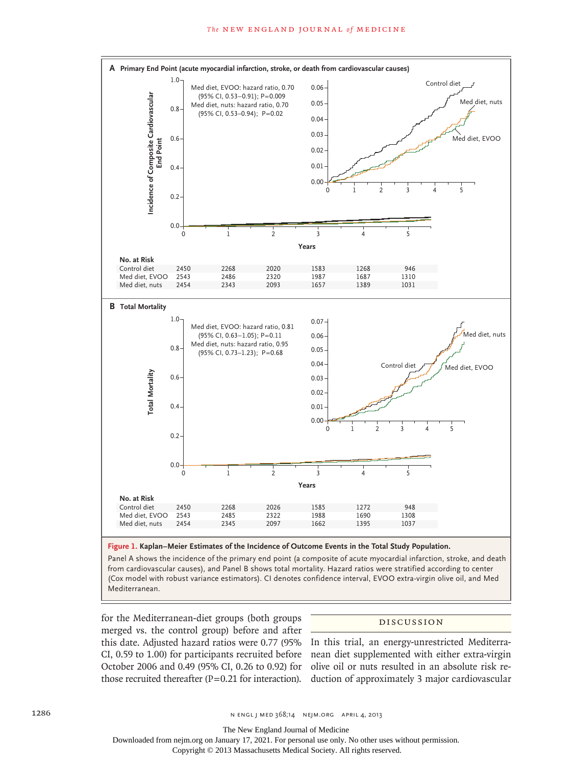

Panel A shows the incidence of the primary end point (a composite of acute myocardial infarction, stroke, and death from cardiovascular causes), and Panel B shows total mortality. Hazard ratios were stratified according to center (Cox model with robust variance estimators). CI denotes confidence interval, EVOO extra-virgin olive oil, and Med Mediterranean.

for the Mediterranean-diet groups (both groups merged vs. the control group) before and after this date. Adjusted hazard ratios were 0.77 (95% CI, 0.59 to 1.00) for participants recruited before October 2006 and 0.49 (95% CI, 0.26 to 0.92) for olive oil or nuts resulted in an absolute risk re-

# Discussion

those recruited thereafter (P=0.21 for interaction). duction of approximately 3 major cardiovascular In this trial, an energy-unrestricted Mediterranean diet supplemented with either extra-virgin

The New England Journal of Medicine

Downloaded from nejm.org on January 17, 2021. For personal use only. No other uses without permission.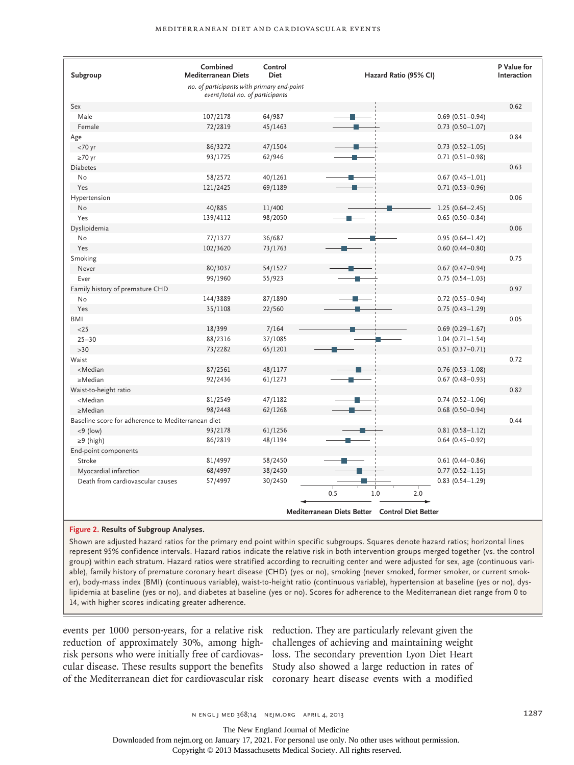| Subgroup                                                                                                  | Combined<br><b>Mediterranean Diets</b><br>no. of participants with primary end-point | Control<br><b>Diet</b> | Hazard Ratio (95% CI)                          | P Value for<br>Interaction |
|-----------------------------------------------------------------------------------------------------------|--------------------------------------------------------------------------------------|------------------------|------------------------------------------------|----------------------------|
|                                                                                                           | event/total no. of participants                                                      |                        |                                                |                            |
| Sex                                                                                                       |                                                                                      |                        |                                                | 0.62                       |
| Male                                                                                                      | 107/2178                                                                             | 64/987                 | $0.69(0.51 - 0.94)$                            |                            |
| Female                                                                                                    | 72/2819                                                                              | 45/1463                | $0.73$ $(0.50 - 1.07)$                         |                            |
| Age                                                                                                       |                                                                                      |                        |                                                | 0.84                       |
| $<$ 70 yr                                                                                                 | 86/3272                                                                              | 47/1504                | $0.73$ $(0.52 - 1.05)$                         |                            |
| $\geq 70$ yr                                                                                              | 93/1725                                                                              | 62/946                 | $0.71(0.51 - 0.98)$                            |                            |
| <b>Diabetes</b>                                                                                           |                                                                                      |                        |                                                | 0.63                       |
| No                                                                                                        | 58/2572                                                                              | 40/1261                | $0.67(0.45 - 1.01)$                            |                            |
| Yes                                                                                                       | 121/2425                                                                             | 69/1189                | $0.71(0.53 - 0.96)$                            |                            |
| Hypertension                                                                                              |                                                                                      |                        |                                                | 0.06                       |
| No                                                                                                        | 40/885                                                                               | 11/400                 | $1.25(0.64 - 2.45)$                            |                            |
| Yes                                                                                                       | 139/4112                                                                             | 98/2050                | $0.65(0.50 - 0.84)$                            |                            |
| Dyslipidemia                                                                                              |                                                                                      |                        |                                                | 0.06                       |
| No                                                                                                        | 77/1377                                                                              | 36/687                 | $0.95(0.64 - 1.42)$                            |                            |
| Yes                                                                                                       | 102/3620                                                                             | 73/1763                | $0.60(0.44 - 0.80)$                            |                            |
| Smoking                                                                                                   |                                                                                      |                        |                                                | 0.75                       |
| Never                                                                                                     | 80/3037                                                                              | 54/1527                | $0.67(0.47 - 0.94)$                            |                            |
| Ever                                                                                                      | 99/1960                                                                              | 55/923                 | $0.75(0.54 - 1.03)$                            |                            |
| Family history of premature CHD                                                                           |                                                                                      |                        |                                                | 0.97                       |
| No                                                                                                        | 144/3889                                                                             | 87/1890                | $0.72$ (0.55-0.94)                             |                            |
| Yes                                                                                                       | 35/1108                                                                              | 22/560                 | $0.75(0.43 - 1.29)$                            |                            |
| BMI                                                                                                       |                                                                                      |                        |                                                | 0.05                       |
| $<$ 25                                                                                                    | 18/399                                                                               | 7/164                  | $0.69(0.29 - 1.67)$                            |                            |
| $25 - 30$                                                                                                 | 88/2316                                                                              | 37/1085                | $1.04(0.71 - 1.54)$                            |                            |
| >30                                                                                                       | 73/2282                                                                              | 65/1201                | $0.51(0.37 - 0.71)$                            |                            |
| Waist                                                                                                     |                                                                                      |                        |                                                | 0.72                       |
| <median< td=""><td>87/2561</td><td>48/1177</td><td><math>0.76(0.53 - 1.08)</math></td><td></td></median<> | 87/2561                                                                              | 48/1177                | $0.76(0.53 - 1.08)$                            |                            |
| $\geq$ Median                                                                                             | 92/2436                                                                              | 61/1273                | $0.67(0.48 - 0.93)$                            |                            |
| Waist-to-height ratio                                                                                     |                                                                                      |                        |                                                | 0.82                       |
| <median< td=""><td>81/2549</td><td>47/1182</td><td><math>0.74(0.52 - 1.06)</math></td><td></td></median<> | 81/2549                                                                              | 47/1182                | $0.74(0.52 - 1.06)$                            |                            |
| $\geq$ Median                                                                                             | 98/2448                                                                              | 62/1268                | $0.68$ (0.50-0.94)                             |                            |
| Baseline score for adherence to Mediterranean diet                                                        |                                                                                      |                        |                                                | 0.44                       |
| $<$ 9 (low)                                                                                               | 93/2178                                                                              | 61/1256                | $0.81(0.58 - 1.12)$                            |                            |
| $\geq$ 9 (high)                                                                                           | 86/2819                                                                              | 48/1194                | $0.64$ (0.45-0.92)                             |                            |
| End-point components                                                                                      |                                                                                      |                        |                                                |                            |
| Stroke                                                                                                    | 81/4997                                                                              | 58/2450                | $0.61(0.44 - 0.86)$                            |                            |
| Myocardial infarction                                                                                     | 68/4997                                                                              | 38/2450                | $0.77(0.52 - 1.15)$                            |                            |
| Death from cardiovascular causes                                                                          | 57/4997                                                                              | 30/2450                | $0.83(0.54 - 1.29)$                            |                            |
|                                                                                                           |                                                                                      |                        | 0.5<br>1.0<br>2.0                              |                            |
|                                                                                                           |                                                                                      |                        | Mediterranean Diets Better Control Diet Better |                            |

#### **Figure 2. Results of Subgroup Analyses.**

Shown are adjusted hazard ratios for the primary end point within specific subgroups. Squares denote hazard ratios; horizontal lines represent 95% confidence intervals. Hazard ratios indicate the relative risk in both intervention groups merged together (vs. the control group) within each stratum. Hazard ratios were stratified according to recruiting center and were adjusted for sex, age (continuous variable), family history of premature coronary heart disease (CHD) (yes or no), smoking (never smoked, former smoker, or current smoker), body-mass index (BMI) (continuous variable), waist-to-height ratio (continuous variable), hypertension at baseline (yes or no), dyslipidemia at baseline (yes or no), and diabetes at baseline (yes or no). Scores for adherence to the Mediterranean diet range from 0 to 14, with higher scores indicating greater adherence.

events per 1000 person-years, for a relative risk reduction. They are particularly relevant given the reduction of approximately 30%, among high-challenges of achieving and maintaining weight risk persons who were initially free of cardiovas-loss. The secondary prevention Lyon Diet Heart cular disease. These results support the benefits Study also showed a large reduction in rates of of the Mediterranean diet for cardiovascular risk coronary heart disease events with a modified

The New England Journal of Medicine

Downloaded from nejm.org on January 17, 2021. For personal use only. No other uses without permission.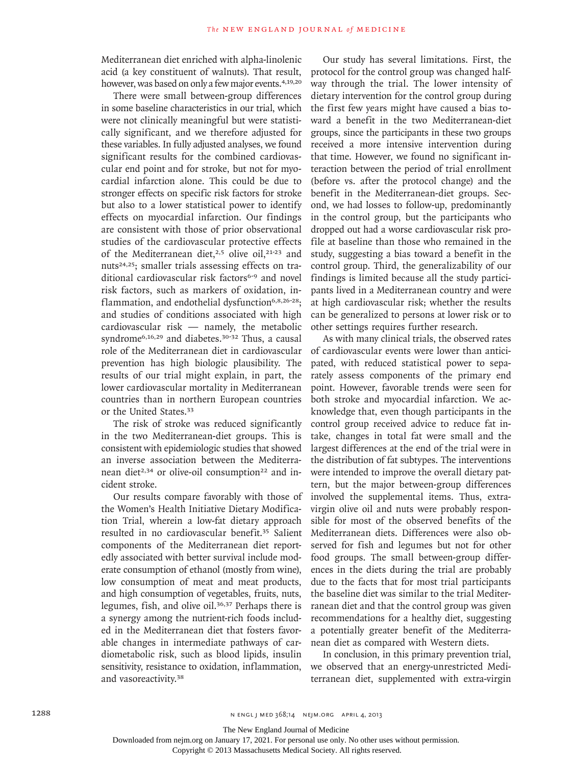Mediterranean diet enriched with alpha-linolenic acid (a key constituent of walnuts). That result, however, was based on only a few major events.<sup>4,19,20</sup>

There were small between-group differences in some baseline characteristics in our trial, which were not clinically meaningful but were statistically significant, and we therefore adjusted for these variables. In fully adjusted analyses, we found significant results for the combined cardiovascular end point and for stroke, but not for myocardial infarction alone. This could be due to stronger effects on specific risk factors for stroke but also to a lower statistical power to identify effects on myocardial infarction. Our findings are consistent with those of prior observational studies of the cardiovascular protective effects of the Mediterranean diet,<sup>2,5</sup> olive oil,<sup>21-23</sup> and nuts24,25; smaller trials assessing effects on traditional cardiovascular risk factors<sup>6-9</sup> and novel risk factors, such as markers of oxidation, inflammation, and endothelial dysfunction<sup>6,8,26-28</sup>; and studies of conditions associated with high cardiovascular risk — namely, the metabolic syndrome<sup>6,16,29</sup> and diabetes.<sup>30-32</sup> Thus, a causal role of the Mediterranean diet in cardiovascular prevention has high biologic plausibility. The results of our trial might explain, in part, the lower cardiovascular mortality in Mediterranean countries than in northern European countries or the United States.<sup>33</sup>

The risk of stroke was reduced significantly in the two Mediterranean-diet groups. This is consistent with epidemiologic studies that showed an inverse association between the Mediterranean diet<sup>2,34</sup> or olive-oil consumption<sup>22</sup> and incident stroke.

Our results compare favorably with those of the Women's Health Initiative Dietary Modification Trial, wherein a low-fat dietary approach resulted in no cardiovascular benefit.<sup>35</sup> Salient components of the Mediterranean diet reportedly associated with better survival include moderate consumption of ethanol (mostly from wine), low consumption of meat and meat products, and high consumption of vegetables, fruits, nuts, legumes, fish, and olive oil.36,37 Perhaps there is a synergy among the nutrient-rich foods included in the Mediterranean diet that fosters favorable changes in intermediate pathways of cardiometabolic risk, such as blood lipids, insulin sensitivity, resistance to oxidation, inflammation, and vasoreactivity.<sup>38</sup>

Our study has several limitations. First, the protocol for the control group was changed halfway through the trial. The lower intensity of dietary intervention for the control group during the first few years might have caused a bias toward a benefit in the two Mediterranean-diet groups, since the participants in these two groups received a more intensive intervention during that time. However, we found no significant interaction between the period of trial enrollment (before vs. after the protocol change) and the benefit in the Mediterranean-diet groups. Second, we had losses to follow-up, predominantly in the control group, but the participants who dropped out had a worse cardiovascular risk profile at baseline than those who remained in the study, suggesting a bias toward a benefit in the control group. Third, the generalizability of our findings is limited because all the study participants lived in a Mediterranean country and were at high cardiovascular risk; whether the results can be generalized to persons at lower risk or to other settings requires further research.

As with many clinical trials, the observed rates of cardiovascular events were lower than anticipated, with reduced statistical power to separately assess components of the primary end point. However, favorable trends were seen for both stroke and myocardial infarction. We acknowledge that, even though participants in the control group received advice to reduce fat intake, changes in total fat were small and the largest differences at the end of the trial were in the distribution of fat subtypes. The interventions were intended to improve the overall dietary pattern, but the major between-group differences involved the supplemental items. Thus, extravirgin olive oil and nuts were probably responsible for most of the observed benefits of the Mediterranean diets. Differences were also observed for fish and legumes but not for other food groups. The small between-group differences in the diets during the trial are probably due to the facts that for most trial participants the baseline diet was similar to the trial Mediterranean diet and that the control group was given recommendations for a healthy diet, suggesting a potentially greater benefit of the Mediterranean diet as compared with Western diets.

In conclusion, in this primary prevention trial, we observed that an energy-unrestricted Mediterranean diet, supplemented with extra-virgin

The New England Journal of Medicine

Downloaded from nejm.org on January 17, 2021. For personal use only. No other uses without permission.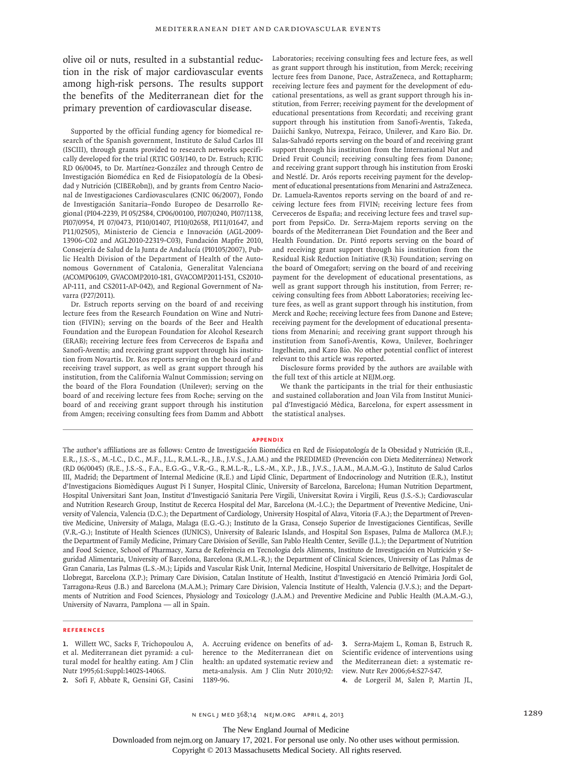olive oil or nuts, resulted in a substantial reduction in the risk of major cardiovascular events among high-risk persons. The results support the benefits of the Mediterranean diet for the primary prevention of cardiovascular disease.

Supported by the official funding agency for biomedical research of the Spanish government, Instituto de Salud Carlos III (ISCIII), through grants provided to research networks specifically developed for the trial (RTIC G03/140, to Dr. Estruch; RTIC RD 06/0045, to Dr. Martínez-González and through Centro de Investigación Biomédica en Red de Fisiopatología de la Obesidad y Nutrición [CIBERobn]), and by grants from Centro Nacional de Investigaciones Cardiovasculares (CNIC 06/2007), Fondo de Investigación Sanitaria–Fondo Europeo de Desarrollo Regional (PI04-2239, PI 05/2584, CP06/00100, PI07/0240, PI07/1138, PI07/0954, PI 07/0473, PI10/01407, PI10/02658, PI11/01647, and P11/02505), Ministerio de Ciencia e Innovación (AGL-2009- 13906-C02 and AGL2010-22319-C03), Fundación Mapfre 2010, Consejería de Salud de la Junta de Andalucía (PI0105/2007), Public Health Division of the Department of Health of the Autonomous Government of Catalonia, Generalitat Valenciana (ACOMP06109, GVACOMP2010-181, GVACOMP2011-151, CS2010- AP-111, and CS2011-AP-042), and Regional Government of Navarra (P27/2011).

Dr. Estruch reports serving on the board of and receiving lecture fees from the Research Foundation on Wine and Nutrition (FIVIN); serving on the boards of the Beer and Health Foundation and the European Foundation for Alcohol Research (ERAB); receiving lecture fees from Cerveceros de España and Sanofi-Aventis; and receiving grant support through his institution from Novartis. Dr. Ros reports serving on the board of and receiving travel support, as well as grant support through his institution, from the California Walnut Commission; serving on the board of the Flora Foundation (Unilever); serving on the board of and receiving lecture fees from Roche; serving on the board of and receiving grant support through his institution from Amgen; receiving consulting fees from Damm and Abbott Laboratories; receiving consulting fees and lecture fees, as well as grant support through his institution, from Merck; receiving lecture fees from Danone, Pace, AstraZeneca, and Rottapharm; receiving lecture fees and payment for the development of educational presentations, as well as grant support through his institution, from Ferrer; receiving payment for the development of educational presentations from Recordati; and receiving grant support through his institution from Sanofi-Aventis, Takeda, Daiichi Sankyo, Nutrexpa, Feiraco, Unilever, and Karo Bio. Dr. Salas-Salvadó reports serving on the board of and receiving grant support through his institution from the International Nut and Dried Fruit Council; receiving consulting fees from Danone; and receiving grant support through his institution from Eroski and Nestlé. Dr. Arós reports receiving payment for the development of educational presentations from Menarini and AstraZeneca. Dr. Lamuela-Raventos reports serving on the board of and receiving lecture fees from FIVIN; receiving lecture fees from Cerveceros de España; and receiving lecture fees and travel support from PepsiCo. Dr. Serra-Majem reports serving on the boards of the Mediterranean Diet Foundation and the Beer and Health Foundation. Dr. Pintó reports serving on the board of and receiving grant support through his institution from the Residual Risk Reduction Initiative (R3i) Foundation; serving on the board of Omegafort; serving on the board of and receiving payment for the development of educational presentations, as well as grant support through his institution, from Ferrer; receiving consulting fees from Abbott Laboratories; receiving lecture fees, as well as grant support through his institution, from Merck and Roche; receiving lecture fees from Danone and Esteve; receiving payment for the development of educational presentations from Menarini; and receiving grant support through his institution from Sanofi-Aventis, Kowa, Unilever, Boehringer Ingelheim, and Karo Bio. No other potential conflict of interest relevant to this article was reported.

Disclosure forms provided by the authors are available with the full text of this article at NEJM.org.

We thank the participants in the trial for their enthusiastic and sustained collaboration and Joan Vila from Institut Municipal d'Investigació Mèdica, Barcelona, for expert assessment in the statistical analyses.

#### **appendix**

The author's affiliations are as follows: Centro de Investigación Biomédica en Red de Fisiopatología de la Obesidad y Nutrición (R.E., E.R., J.S.-S., M.-I.C., D.C., M.F., J.L., R.M.L.-R., J.B., J.V.S., J.A.M.) and the PREDIMED (Prevención con Dieta Mediterránea) Network (RD 06/0045) (R.E., J.S.-S., F.A., E.G.-G., V.R.-G., R.M.L.-R., L.S.-M., X.P., J.B., J.V.S., J.A.M., M.A.M.-G.), Instituto de Salud Carlos III, Madrid; the Department of Internal Medicine (R.E.) and Lipid Clinic, Department of Endocrinology and Nutrition (E.R.), Institut d'Investigacions Biomèdiques August Pi I Sunyer, Hospital Clinic, University of Barcelona, Barcelona; Human Nutrition Department, Hospital Universitari Sant Joan, Institut d'Investigació Sanitaria Pere Virgili, Universitat Rovira i Virgili, Reus (J.S.-S.); Cardiovascular and Nutrition Research Group, Institut de Recerca Hospital del Mar, Barcelona (M.-I.C.); the Department of Preventive Medicine, University of Valencia, Valencia (D.C.); the Department of Cardiology, University Hospital of Alava, Vitoria (F.A.); the Department of Preventive Medicine, University of Malaga, Malaga (E.G.-G.); Instituto de la Grasa, Consejo Superior de Investigaciones Cientificas, Seville (V.R.-G.); Institute of Health Sciences (IUNICS), University of Balearic Islands, and Hospital Son Espases, Palma de Mallorca (M.F.); the Department of Family Medicine, Primary Care Division of Seville, San Pablo Health Center, Seville (J.L.); the Department of Nutrition and Food Science, School of Pharmacy, Xarxa de Referència en Tecnologia dels Aliments, Instituto de Investigación en Nutrición y Seguridad Alimentaria, University of Barcelona, Barcelona (R.M.L.-R.); the Department of Clinical Sciences, University of Las Palmas de Gran Canaria, Las Palmas (L.S.-M.); Lipids and Vascular Risk Unit, Internal Medicine, Hospital Universitario de Bellvitge, Hospitalet de Llobregat, Barcelona (X.P.); Primary Care Division, Catalan Institute of Health, Institut d'Investigació en Atenció Primària Jordi Gol, Tarragona-Reus (J.B.) and Barcelona (M.A.M.); Primary Care Division, Valencia Institute of Health, Valencia (J.V.S.); and the Departments of Nutrition and Food Sciences, Physiology and Toxicology (J.A.M.) and Preventive Medicine and Public Health (M.A.M.-G.), University of Navarra, Pamplona — all in Spain.

#### **References**

**1.** Willett WC, Sacks F, Trichopoulou A, et al. Mediterranean diet pyramid: a cultural model for healthy eating. Am J Clin Nutr 1995;61:Suppl:1402S-1406S. **2.** Sofi F, Abbate R, Gensini GF, Casini

A. Accruing evidence on benefits of ad-**3.** Serra-Majem L, Roman B, Estruch R. herence to the Mediterranean diet on health: an updated systematic review and meta-analysis. Am J Clin Nutr 2010;92: 1189-96.

Scientific evidence of interventions using the Mediterranean diet: a systematic review. Nutr Rev 2006;64:S27-S47.

**4.** de Lorgeril M, Salen P, Martin JL,

The New England Journal of Medicine

Downloaded from nejm.org on January 17, 2021. For personal use only. No other uses without permission.